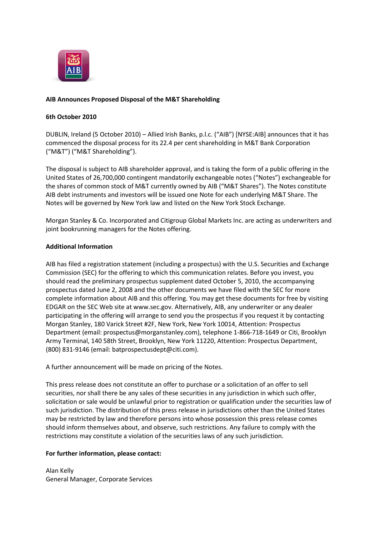

## **AIB Announces Proposed Disposal of the M&T Shareholding**

## **6th October 2010**

DUBLIN, Ireland (5 October 2010) – Allied Irish Banks, p.l.c. ("AIB") [NYSE:AIB] announces that it has commenced the disposal process for its 22.4 per cent shareholding in M&T Bank Corporation ("M&T") ("M&T Shareholding").

The disposal is subject to AIB shareholder approval, and is taking the form of a public offering in the United States of 26,700,000 contingent mandatorily exchangeable notes ("Notes") exchangeable for the shares of common stock of M&T currently owned by AIB ("M&T Shares"). The Notes constitute AIB debt instruments and investors will be issued one Note for each underlying M&T Share. The Notes will be governed by New York law and listed on the New York Stock Exchange.

Morgan Stanley & Co. Incorporated and Citigroup Global Markets Inc. are acting as underwriters and joint bookrunning managers for the Notes offering.

## **Additional Information**

AIB has filed a registration statement (including a prospectus) with the U.S. Securities and Exchange Commission (SEC) for the offering to which this communication relates. Before you invest, you should read the preliminary prospectus supplement dated October 5, 2010, the accompanying prospectus dated June 2, 2008 and the other documents we have filed with the SEC for more complete information about AIB and this offering. You may get these documents for free by visiting EDGAR on the SEC Web site at www.sec.gov. Alternatively, AIB, any underwriter or any dealer participating in the offering will arrange to send you the prospectus if you request it by contacting Morgan Stanley, 180 Varick Street #2F, New York, New York 10014, Attention: Prospectus Department (email: prospectus@morganstanley.com), telephone 1-866-718-1649 or Citi, Brooklyn Army Terminal, 140 58th Street, Brooklyn, New York 11220, Attention: Prospectus Department, (800) 831-9146 (email: batprospectusdept@citi.com).

A further announcement will be made on pricing of the Notes.

This press release does not constitute an offer to purchase or a solicitation of an offer to sell securities, nor shall there be any sales of these securities in any jurisdiction in which such offer, solicitation or sale would be unlawful prior to registration or qualification under the securities law of such jurisdiction. The distribution of this press release in jurisdictions other than the United States may be restricted by law and therefore persons into whose possession this press release comes should inform themselves about, and observe, such restrictions. Any failure to comply with the restrictions may constitute a violation of the securities laws of any such jurisdiction.

## **For further information, please contact:**

Alan Kelly General Manager, Corporate Services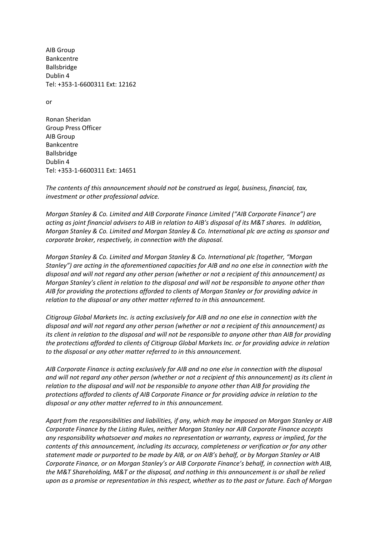AIB Group Bankcentre Ballsbridge Dublin 4 Tel: +353-1-6600311 Ext: 12162

or

Ronan Sheridan Group Press Officer AIB Group Bankcentre Ballsbridge Dublin 4 Tel: +353-1-6600311 Ext: 14651

*The contents of this announcement should not be construed as legal, business, financial, tax, investment or other professional advice.*

*Morgan Stanley & Co. Limited and AIB Corporate Finance Limited ("AIB Corporate Finance") are acting as joint financial advisers to AIB in relation to AIB's disposal of its M&T shares. In addition, Morgan Stanley & Co. Limited and Morgan Stanley & Co. International plc are acting as sponsor and corporate broker, respectively, in connection with the disposal.*

*Morgan Stanley & Co. Limited and Morgan Stanley & Co. International plc (together, "Morgan Stanley") are acting in the aforementioned capacities for AIB and no one else in connection with the disposal and will not regard any other person (whether or not a recipient of this announcement) as Morgan Stanley's client in relation to the disposal and will not be responsible to anyone other than AIB for providing the protections afforded to clients of Morgan Stanley or for providing advice in relation to the disposal or any other matter referred to in this announcement.*

*Citigroup Global Markets Inc. is acting exclusively for AIB and no one else in connection with the disposal and will not regard any other person (whether or not a recipient of this announcement) as its client in relation to the disposal and will not be responsible to anyone other than AIB for providing the protections afforded to clients of Citigroup Global Markets Inc. or for providing advice in relation to the disposal or any other matter referred to in this announcement.*

*AIB Corporate Finance is acting exclusively for AIB and no one else in connection with the disposal and will not regard any other person (whether or not a recipient of this announcement) as its client in relation to the disposal and will not be responsible to anyone other than AIB for providing the protections afforded to clients of AIB Corporate Finance or for providing advice in relation to the disposal or any other matter referred to in this announcement.*

*Apart from the responsibilities and liabilities, if any, which may be imposed on Morgan Stanley or AIB Corporate Finance by the Listing Rules, neither Morgan Stanley nor AIB Corporate Finance accepts any responsibility whatsoever and makes no representation or warranty, express or implied, for the contents of this announcement, including its accuracy, completeness or verification or for any other statement made or purported to be made by AIB, or on AIB's behalf, or by Morgan Stanley or AIB Corporate Finance, or on Morgan Stanley's or AIB Corporate Finance's behalf, in connection with AIB, the M&T Shareholding, M&T or the disposal, and nothing in this announcement is or shall be relied upon as a promise or representation in this respect, whether as to the past or future. Each of Morgan*